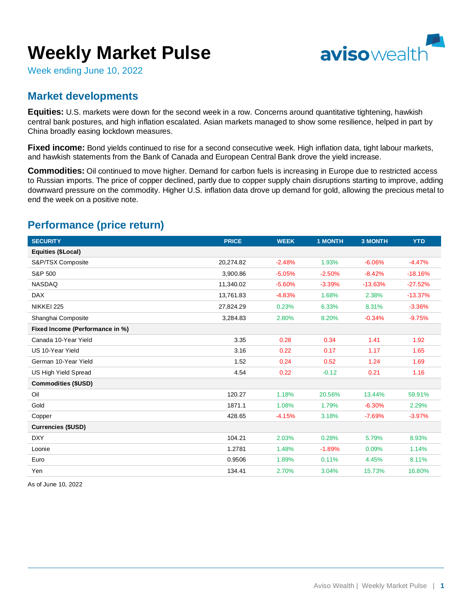# **Weekly Market Pulse**



Week ending June 10, 2022

## **Market developments**

**Equities:** U.S. markets were down for the second week in a row. Concerns around quantitative tightening, hawkish central bank postures, and high inflation escalated. Asian markets managed to show some resilience, helped in part by China broadly easing lockdown measures.

**Fixed income:** Bond yields continued to rise for a second consecutive week. High inflation data, tight labour markets, and hawkish statements from the Bank of Canada and European Central Bank drove the yield increase.

**Commodities:** Oil continued to move higher. Demand for carbon fuels is increasing in Europe due to restricted access to Russian imports. The price of copper declined, partly due to copper supply chain disruptions starting to improve, adding downward pressure on the commodity. Higher U.S. inflation data drove up demand for gold, allowing the precious metal to end the week on a positive note.

## **Performance (price return)**

| <b>SECURITY</b>                 | <b>PRICE</b> | <b>WEEK</b> | <b>1 MONTH</b> | <b>3 MONTH</b> | <b>YTD</b> |
|---------------------------------|--------------|-------------|----------------|----------------|------------|
| Equities (\$Local)              |              |             |                |                |            |
| S&P/TSX Composite               | 20,274.82    | $-2.48%$    | 1.93%          | $-6.06%$       | $-4.47%$   |
| S&P 500                         | 3,900.86     | $-5.05%$    | $-2.50%$       | $-8.42%$       | $-18.16%$  |
| <b>NASDAQ</b>                   | 11,340.02    | $-5.60%$    | $-3.39%$       | $-13.63%$      | $-27.52%$  |
| <b>DAX</b>                      | 13,761.83    | $-4.83%$    | 1.68%          | 2.38%          | $-13.37%$  |
| NIKKEI 225                      | 27,824.29    | 0.23%       | 6.33%          | 8.31%          | $-3.36%$   |
| Shanghai Composite              | 3,284.83     | 2.80%       | 8.20%          | $-0.34%$       | $-9.75%$   |
| Fixed Income (Performance in %) |              |             |                |                |            |
| Canada 10-Year Yield            | 3.35         | 0.28        | 0.34           | 1.41           | 1.92       |
| US 10-Year Yield                | 3.16         | 0.22        | 0.17           | 1.17           | 1.65       |
| German 10-Year Yield            | 1.52         | 0.24        | 0.52           | 1.24           | 1.69       |
| <b>US High Yield Spread</b>     | 4.54         | 0.22        | $-0.12$        | 0.21           | 1.16       |
| <b>Commodities (\$USD)</b>      |              |             |                |                |            |
| Oil                             | 120.27       | 1.18%       | 20.56%         | 13.44%         | 59.91%     |
| Gold                            | 1871.1       | 1.08%       | 1.79%          | $-6.30%$       | 2.29%      |
| Copper                          | 428.65       | $-4.15%$    | 3.18%          | $-7.69%$       | $-3.97%$   |
| <b>Currencies (\$USD)</b>       |              |             |                |                |            |
| <b>DXY</b>                      | 104.21       | 2.03%       | 0.28%          | 5.79%          | 8.93%      |
| Loonie                          | 1.2781       | 1.48%       | $-1.89%$       | 0.09%          | 1.14%      |
| Euro                            | 0.9506       | 1.89%       | 0.11%          | 4.45%          | 8.11%      |
| Yen                             | 134.41       | 2.70%       | 3.04%          | 15.73%         | 16.80%     |

As of June 10, 2022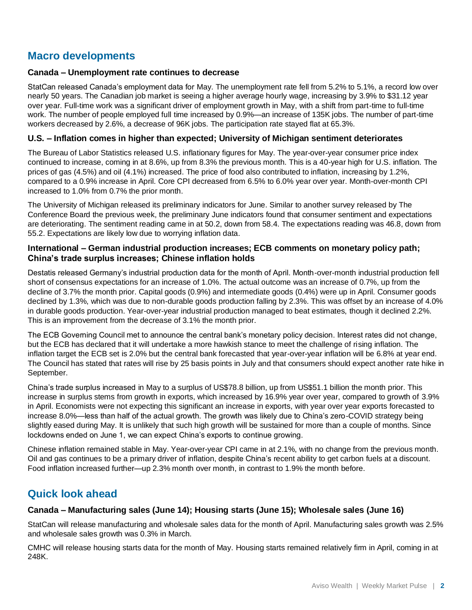## **Macro developments**

#### **Canada – Unemployment rate continues to decrease**

StatCan released Canada's employment data for May. The unemployment rate fell from 5.2% to 5.1%, a record low over nearly 50 years. The Canadian job market is seeing a higher average hourly wage, increasing by 3.9% to \$31.12 year over year. Full-time work was a significant driver of employment growth in May, with a shift from part-time to full-time work. The number of people employed full time increased by 0.9%—an increase of 135K jobs. The number of part-time workers decreased by 2.6%, a decrease of 96K jobs. The participation rate stayed flat at 65.3%.

#### **U.S. – Inflation comes in higher than expected; University of Michigan sentiment deteriorates**

The Bureau of Labor Statistics released U.S. inflationary figures for May. The year-over-year consumer price index continued to increase, coming in at 8.6%, up from 8.3% the previous month. This is a 40-year high for U.S. inflation. The prices of gas (4.5%) and oil (4.1%) increased. The price of food also contributed to inflation, increasing by 1.2%, compared to a 0.9% increase in April. Core CPI decreased from 6.5% to 6.0% year over year. Month-over-month CPI increased to 1.0% from 0.7% the prior month.

The University of Michigan released its preliminary indicators for June. Similar to another survey released by The Conference Board the previous week, the preliminary June indicators found that consumer sentiment and expectations are deteriorating. The sentiment reading came in at 50.2, down from 58.4. The expectations reading was 46.8, down from 55.2. Expectations are likely low due to worrying inflation data.

#### **International – German industrial production increases; ECB comments on monetary policy path; China's trade surplus increases; Chinese inflation holds**

Destatis released Germany's industrial production data for the month of April. Month-over-month industrial production fell short of consensus expectations for an increase of 1.0%. The actual outcome was an increase of 0.7%, up from the decline of 3.7% the month prior. Capital goods (0.9%) and intermediate goods (0.4%) were up in April. Consumer goods declined by 1.3%, which was due to non-durable goods production falling by 2.3%. This was offset by an increase of 4.0% in durable goods production. Year-over-year industrial production managed to beat estimates, though it declined 2.2%. This is an improvement from the decrease of 3.1% the month prior.

The ECB Governing Council met to announce the central bank's monetary policy decision. Interest rates did not change, but the ECB has declared that it will undertake a more hawkish stance to meet the challenge of rising inflation. The inflation target the ECB set is 2.0% but the central bank forecasted that year-over-year inflation will be 6.8% at year end. The Council has stated that rates will rise by 25 basis points in July and that consumers should expect another rate hike in September.

China's trade surplus increased in May to a surplus of US\$78.8 billion, up from US\$51.1 billion the month prior. This increase in surplus stems from growth in exports, which increased by 16.9% year over year, compared to growth of 3.9% in April. Economists were not expecting this significant an increase in exports, with year over year exports forecasted to increase 8.0%—less than half of the actual growth. The growth was likely due to China's zero-COVID strategy being slightly eased during May. It is unlikely that such high growth will be sustained for more than a couple of months. Since lockdowns ended on June 1, we can expect China's exports to continue growing.

Chinese inflation remained stable in May. Year-over-year CPI came in at 2.1%, with no change from the previous month. Oil and gas continues to be a primary driver of inflation, despite China's recent ability to get carbon fuels at a discount. Food inflation increased further—up 2.3% month over month, in contrast to 1.9% the month before.

## **Quick look ahead**

#### **Canada – Manufacturing sales (June 14); Housing starts (June 15); Wholesale sales (June 16)**

StatCan will release manufacturing and wholesale sales data for the month of April. Manufacturing sales growth was 2.5% and wholesale sales growth was 0.3% in March.

CMHC will release housing starts data for the month of May. Housing starts remained relatively firm in April, coming in at 248K.